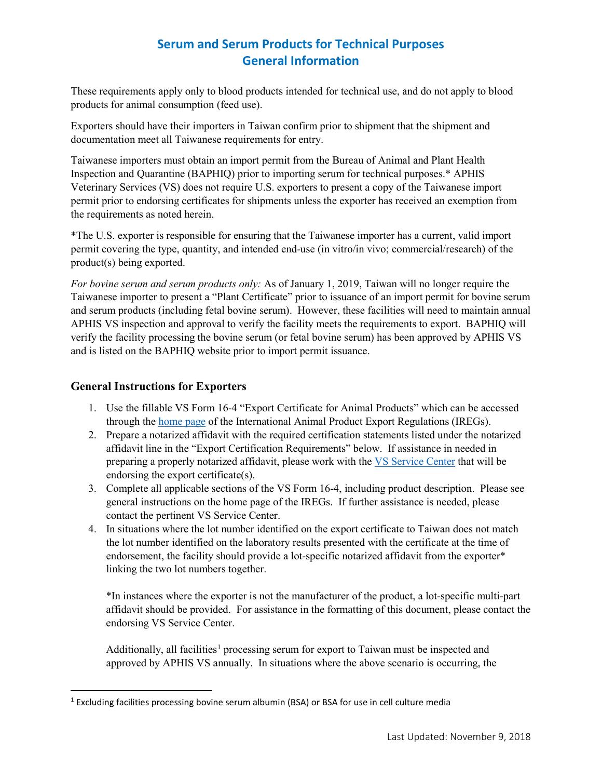# **Serum and Serum Products for Technical Purposes General Information**

These requirements apply only to blood products intended for technical use, and do not apply to blood products for animal consumption (feed use).

Exporters should have their importers in Taiwan confirm prior to shipment that the shipment and documentation meet all Taiwanese requirements for entry.

Taiwanese importers must obtain an import permit from the Bureau of Animal and Plant Health Inspection and Quarantine (BAPHIQ) prior to importing serum for technical purposes.\* APHIS Veterinary Services (VS) does not require U.S. exporters to present a copy of the Taiwanese import permit prior to endorsing certificates for shipments unless the exporter has received an exemption from the requirements as noted herein.

\*The U.S. exporter is responsible for ensuring that the Taiwanese importer has a current, valid import permit covering the type, quantity, and intended end-use (in vitro/in vivo; commercial/research) of the product(s) being exported.

*For bovine serum and serum products only:* As of January 1, 2019, Taiwan will no longer require the Taiwanese importer to present a "Plant Certificate" prior to issuance of an import permit for bovine serum and serum products (including fetal bovine serum). However, these facilities will need to maintain annual APHIS VS inspection and approval to verify the facility meets the requirements to export. BAPHIQ will verify the facility processing the bovine serum (or fetal bovine serum) has been approved by APHIS VS and is listed on the BAPHIQ website prior to import permit issuance.

### **General Instructions for Exporters**

- 1. Use the fillable VS Form 16-4 "Export Certificate for Animal Products" which can be accessed through the [home page](https://www.aphis.usda.gov/aphis/ourfocus/animalhealth/export/iregs-for-animal-product-exports/ct_iregs_animal_product_exports_home) of the International Animal Product Export Regulations (IREGs).
- 2. Prepare a notarized affidavit with the required certification statements listed under the notarized affidavit line in the "Export Certification Requirements" below. If assistance in needed in preparing a properly notarized affidavit, please work with the [VS Service Center](https://www.aphis.usda.gov/animal_health/downloads/nies_contacts/sc.pdf) that will be endorsing the export certificate(s).
- 3. Complete all applicable sections of the VS Form 16-4, including product description. Please see general instructions on the home page of the IREGs. If further assistance is needed, please contact the pertinent VS Service Center.
- 4. In situations where the lot number identified on the export certificate to Taiwan does not match the lot number identified on the laboratory results presented with the certificate at the time of endorsement, the facility should provide a lot-specific notarized affidavit from the exporter\* linking the two lot numbers together.

\*In instances where the exporter is not the manufacturer of the product, a lot-specific multi-part affidavit should be provided. For assistance in the formatting of this document, please contact the endorsing VS Service Center.

Additionally, all facilities<sup>[1](#page-0-0)</sup> processing serum for export to Taiwan must be inspected and approved by APHIS VS annually. In situations where the above scenario is occurring, the

<span id="page-0-0"></span><sup>&</sup>lt;sup>1</sup> Excluding facilities processing bovine serum albumin (BSA) or BSA for use in cell culture media